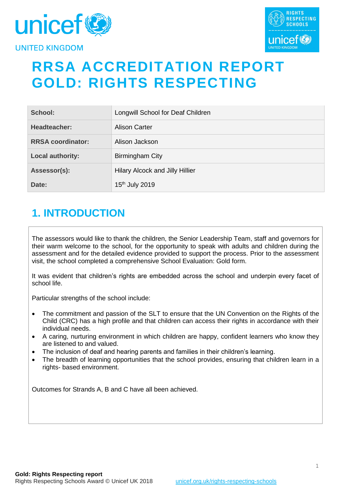



# **RRSA ACCREDITATION REPORT GOLD: RIGHTS RESPECTING**

| School:                  | Longwill School for Deaf Children |
|--------------------------|-----------------------------------|
| Headteacher:             | <b>Alison Carter</b>              |
| <b>RRSA coordinator:</b> | Alison Jackson                    |
| Local authority:         | Birmingham City                   |
| Assessor(s):             | Hilary Alcock and Jilly Hillier   |
| Date:                    | 15th July 2019                    |

# **1. INTRODUCTION**

The assessors would like to thank the children, the Senior Leadership Team, staff and governors for their warm welcome to the school, for the opportunity to speak with adults and children during the assessment and for the detailed evidence provided to support the process. Prior to the assessment visit, the school completed a comprehensive School Evaluation: Gold form.

It was evident that children's rights are embedded across the school and underpin every facet of school life.

Particular strengths of the school include:

- The commitment and passion of the SLT to ensure that the UN Convention on the Rights of the Child (CRC) has a high profile and that children can access their rights in accordance with their individual needs.
- A caring, nurturing environment in which children are happy, confident learners who know they are listened to and valued.
- The inclusion of deaf and hearing parents and families in their children's learning.
- The breadth of learning opportunities that the school provides, ensuring that children learn in a rights- based environment.

Outcomes for Strands A, B and C have all been achieved.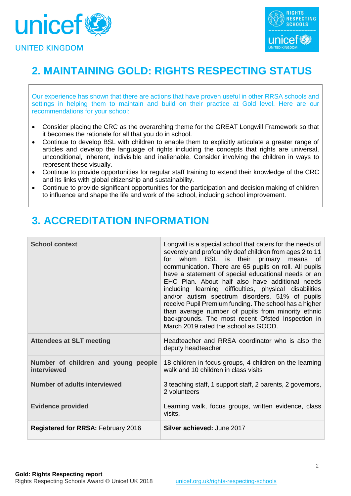



# **2. MAINTAINING GOLD: RIGHTS RESPECTING STATUS**

Our experience has shown that there are actions that have proven useful in other RRSA schools and settings in helping them to maintain and build on their practice at Gold level. Here are our recommendations for your school:

- Consider placing the CRC as the overarching theme for the GREAT Longwill Framework so that it becomes the rationale for all that you do in school.
- Continue to develop BSL with children to enable them to explicitly articulate a greater range of articles and develop the language of rights including the concepts that rights are universal, unconditional, inherent, indivisible and inalienable. Consider involving the children in ways to represent these visually.
- Continue to provide opportunities for regular staff training to extend their knowledge of the CRC and its links with global citizenship and sustainability.
- Continue to provide significant opportunities for the participation and decision making of children to influence and shape the life and work of the school, including school improvement.

# **3. ACCREDITATION INFORMATION**

| <b>School context</b>                              | Longwill is a special school that caters for the needs of<br>severely and profoundly deaf children from ages 2 to 11<br>whom BSL is their primary<br>means<br>for<br>of.<br>communication. There are 65 pupils on roll. All pupils<br>have a statement of special educational needs or an<br>EHC Plan. About half also have additional needs<br>including learning difficulties, physical disabilities<br>and/or autism spectrum disorders. 51% of pupils<br>receive Pupil Premium funding. The school has a higher<br>than average number of pupils from minority ethnic<br>backgrounds. The most recent Ofsted Inspection in<br>March 2019 rated the school as GOOD. |
|----------------------------------------------------|------------------------------------------------------------------------------------------------------------------------------------------------------------------------------------------------------------------------------------------------------------------------------------------------------------------------------------------------------------------------------------------------------------------------------------------------------------------------------------------------------------------------------------------------------------------------------------------------------------------------------------------------------------------------|
| <b>Attendees at SLT meeting</b>                    | Headteacher and RRSA coordinator who is also the<br>deputy headteacher                                                                                                                                                                                                                                                                                                                                                                                                                                                                                                                                                                                                 |
| Number of children and young people<br>interviewed | 18 children in focus groups, 4 children on the learning<br>walk and 10 children in class visits                                                                                                                                                                                                                                                                                                                                                                                                                                                                                                                                                                        |
| <b>Number of adults interviewed</b>                | 3 teaching staff, 1 support staff, 2 parents, 2 governors,<br>2 volunteers                                                                                                                                                                                                                                                                                                                                                                                                                                                                                                                                                                                             |
| <b>Evidence provided</b>                           | Learning walk, focus groups, written evidence, class<br>visits,                                                                                                                                                                                                                                                                                                                                                                                                                                                                                                                                                                                                        |
| <b>Registered for RRSA: February 2016</b>          | <b>Silver achieved: June 2017</b>                                                                                                                                                                                                                                                                                                                                                                                                                                                                                                                                                                                                                                      |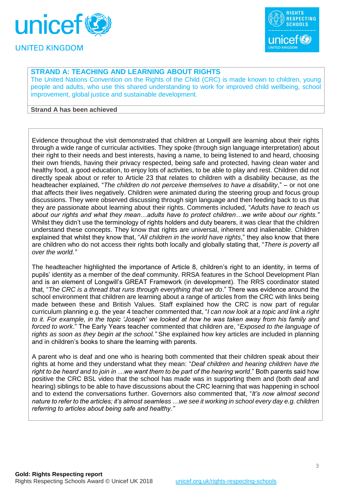



## **STRAND A: TEACHING AND LEARNING ABOUT RIGHTS**

The United Nations Convention on the Rights of the Child (CRC) is made known to children, young people and adults, who use this shared understanding to work for improved child wellbeing, school improvement, global justice and sustainable development.

### **Strand A has been achieved**

Evidence throughout the visit demonstrated that children at Longwill are learning about their rights through a wide range of curricular activities. They spoke (through sign language interpretation) about their right to their needs and best interests, having a name, to being listened to and heard, choosing their own friends, having their privacy respected, being safe and protected, having clean water and healthy food, a good education, to enjoy lots of activities, to be able to play and rest. Children did not directly speak about or refer to Article 23 that relates to children with a disability because, as the headteacher explained, "*The children do not perceive themselves to have a disability*," – or not one that affects their lives negatively. Children were animated during the steering group and focus group discussions. They were observed discussing through sign language and then feeding back to us that they are passionate about learning about their rights. Comments included, "*Adults have to teach us about our rights and what they mean…adults have to protect children…we write about our rights."* Whilst they didn't use the terminology of rights holders and duty bearers, it was clear that the children understand these concepts. They know that rights are universal, inherent and inalienable. Children explained that whilst they know that, "*All children in the world have rights*," they also know that there are children who do not access their rights both locally and globally stating that, "*There is poverty all over the world."*

The headteacher highlighted the importance of Article 8, children's right to an identity, in terms of pupils' identity as a member of the deaf community. RRSA features in the School Development Plan and is an element of Longwill's GREAT Framework (in development). The RRS coordinator stated that, "*The CRC is a thread that runs through everything that we do*." There was evidence around the school environment that children are learning about a range of articles from the CRC with links being made between these and British Values. Staff explained how the CRC is now part of regular curriculum planning e.g. the year 4 teacher commented that, "*I can now look at a topic and link a right to it. For example, in the topic 'Joseph' we looked at how he was taken away from his family and forced to work*." The Early Years teacher commented that children are, "*Exposed to the language of rights as soon as they begin at the school."* She explained how key articles are included in planning and in children's books to share the learning with parents.

A parent who is deaf and one who is hearing both commented that their children speak about their rights at home and they understand what they mean: "*Deaf children and hearing children have the*  right to be heard and to join in ...we want them to be part of the hearing world." Both parents said how positive the CRC BSL video that the school has made was in supporting them and (both deaf and hearing) siblings to be able to have discussions about the CRC learning that was happening in school and to extend the conversations further. Governors also commented that, "*It's now almost second nature to refer to the articles; it's almost seamless …we see it working in school every day e.g. children referring to articles about being safe and healthy."*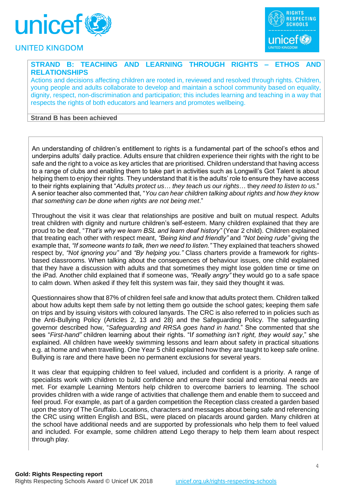



# **STRAND B: TEACHING AND LEARNING THROUGH RIGHTS – ETHOS AND RELATIONSHIPS**

Actions and decisions affecting children are rooted in, reviewed and resolved through rights. Children, young people and adults collaborate to develop and maintain a school community based on equality, dignity, respect, non-discrimination and participation; this includes learning and teaching in a way that respects the rights of both educators and learners and promotes wellbeing.

### **Strand B has been achieved**

An understanding of children's entitlement to rights is a fundamental part of the school's ethos and underpins adults' daily practice. Adults ensure that children experience their rights with the right to be safe and the right to a voice as key articles that are prioritised. Children understand that having access to a range of clubs and enabling them to take part in activities such as Longwill's Got Talent is about helping them to enjoy their rights. They understand that it is the adults' role to ensure they have access to their rights explaining that "*Adults protect us*… *they teach us our rights*… they *need to listen to us*." A senior teacher also commented that, "*You can hear children talking about rights and how they know that something can be done when rights are not being met*."

Throughout the visit it was clear that relationships are positive and built on mutual respect. Adults treat children with dignity and nurture children's self-esteem. Many children explained that they are proud to be deaf, "*That's why we learn BSL and learn deaf history"* (Year 2 child). Children explained that treating each other with respect meant, *"Being kind and friendly"* and *"Not being rude"* giving the example that, *"If someone wants to talk, then we need to listen."* They explained that teachers showed respect by, *"Not ignoring you"* and *"By helping you."* Class charters provide a framework for rightsbased classrooms*.* When talking about the consequences of behaviour issues, one child explained that they have a discussion with adults and that sometimes they might lose golden time or time on the iPad. Another child explained that if someone was, *"Really angry"* they would go to a safe space to calm down. When asked if they felt this system was fair, they said they thought it was*.*

Questionnaires show that 87% of children feel safe and know that adults protect them. Children talked about how adults kept them safe by not letting them go outside the school gates; keeping them safe on trips and by issuing visitors with coloured lanyards. The CRC is also referred to in policies such as the Anti-Bullying Policy (Articles 2, 13 and 28) and the Safeguarding Policy. The safeguarding governor described how, "*Safeguarding and RRSA goes hand in hand*." She commented that she sees "*First-hand"* children learning about their rights. "I*f something isn't right, they would say*," she explained. All children have weekly swimming lessons and learn about safety in practical situations e.g. at home and when travelling. One Year 5 child explained how they are taught to keep safe online. Bullying is rare and there have been no permanent exclusions for several years.

It was clear that equipping children to feel valued, included and confident is a priority. A range of specialists work with children to build confidence and ensure their social and emotional needs are met. For example Learning Mentors help children to overcome barriers to learning. The school provides children with a wide range of activities that challenge them and enable them to succeed and feel proud. For example, as part of a garden competition the Reception class created a garden based upon the story of The Gruffalo. Locations, characters and messages about being safe and referencing the CRC using written English and BSL, were placed on placards around garden. Many children at the school have additional needs and are supported by professionals who help them to feel valued and included. For example, some children attend Lego therapy to help them learn about respect through play.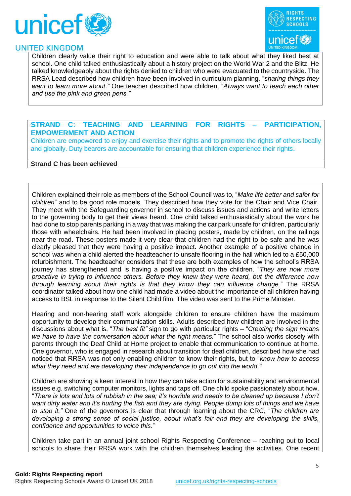



Children clearly value their right to education and were able to talk about what they liked best at school. One child talked enthusiastically about a history project on the World War 2 and the Blitz. He talked knowledgeably about the rights denied to children who were evacuated to the countryside. The RRSA Lead described how children have been involved in curriculum planning, "*sharing things they want to learn more about."* One teacher described how children, "*Always want to teach each other and use the pink and green pens."*

### **STRAND C: TEACHING AND LEARNING FOR RIGHTS – PARTICIPATION, EMPOWERMENT AND ACTION**

Children are empowered to enjoy and exercise their rights and to promote the rights of others locally and globally. Duty bearers are accountable for ensuring that children experience their rights.

#### **Strand C has been achieved**

Children explained their role as members of the School Council was to, "*Make life better and safer for children*" and to be good role models. They described how they vote for the Chair and Vice Chair. They meet with the Safeguarding governor in school to discuss issues and actions and write letters to the governing body to get their views heard. One child talked enthusiastically about the work he had done to stop parents parking in a way that was making the car park unsafe for children, particularly those with wheelchairs. He had been involved in placing posters, made by children, on the railings near the road. These posters made it very clear that children had the right to be safe and he was clearly pleased that they were having a positive impact. Another example of a positive change in school was when a child alerted the headteacher to unsafe flooring in the hall which led to a £50,000 refurbishment. The headteacher considers that these are both examples of how the school's RRSA journey has strengthened and is having a positive impact on the children. "*They are now more proactive in trying to influence others. Before they knew they were heard, but the difference now through learning about their rights is that they know they can influence change.*" The RRSA coordinator talked about how one child had made a video about the importance of all children having access to BSL in response to the Silent Child film. The video was sent to the Prime Minister.

Hearing and non-hearing staff work alongside children to ensure children have the maximum opportunity to develop their communication skills. Adults described how children are involved in the discussions about what is, "*The best fit"* sign to go with particular rights – "*Creating the sign means we have to have the conversation about what the right means.*" The school also works closely with parents through the Deaf Child at Home project to enable that communication to continue at home. One governor, who is engaged in research about transition for deaf children, described how she had noticed that RRSA was not only enabling children to know their rights, but to "*know how to access what they need and are developing their independence to go out into the world."*

Children are showing a keen interest in how they can take action for sustainability and environmental issues e.g. switching computer monitors, lights and taps off. One child spoke passionately about how, "*There is lots and lots of rubbish in the sea; it's horrible and needs to be cleaned up because I don't want dirty water and it's hurting the fish and they are dying. People dump lots of things and we have to stop it."* One of the governors is clear that through learning about the CRC, "*The children are developing a strong sense of social justice, about what's fair and they are developing the skills, confidence and opportunities to voice this*."

Children take part in an annual joint school Rights Respecting Conference – reaching out to local schools to share their RRSA work with the children themselves leading the activities. One recent